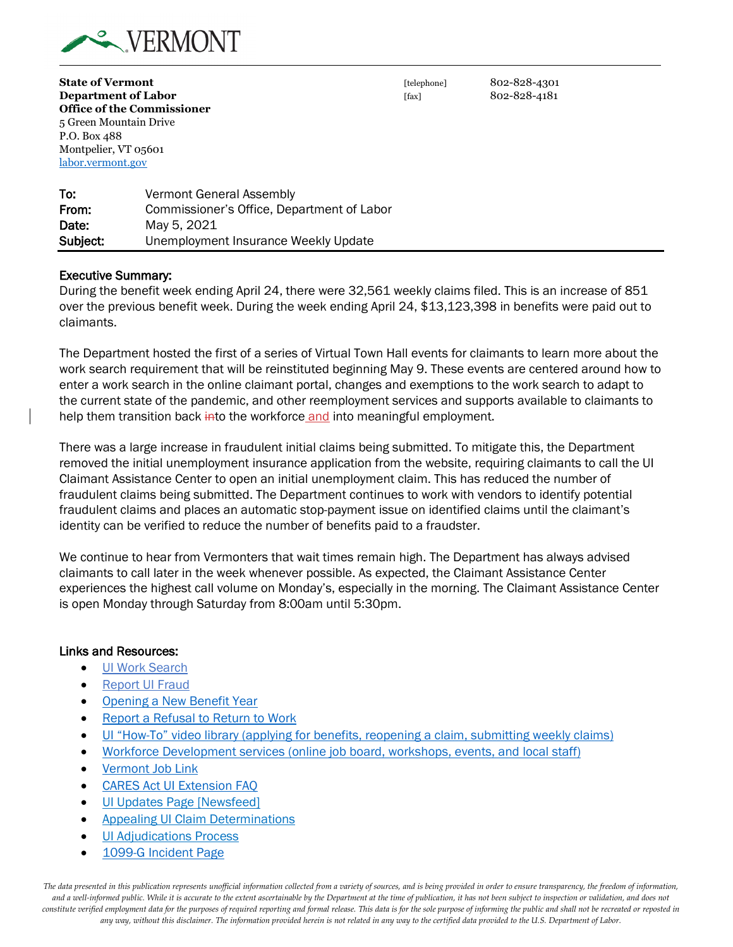

**State of Vermont and State of Vermont and State of Vermont [telephone]** 802-828-4301 **Department of Labor** [fax] 802-828-4181 **Office of the Commissioner** 5 Green Mountain Drive P.O. Box 488 Montpelier, VT 05601 labor.vermont.gov

To: Vermont General Assembly From: Commissioner's Office, Department of Labor **Date:** May 5, 2021 Subject: Unemployment Insurance Weekly Update

#### Executive Summary:

During the benefit week ending April 24, there were 32,561 weekly claims filed. This is an increase of 851 over the previous benefit week. During the week ending April 24, \$13,123,398 in benefits were paid out to claimants.

The Department hosted the first of a series of Virtual Town Hall events for claimants to learn more about the work search requirement that will be reinstituted beginning May 9. These events are centered around how to enter a work search in the online claimant portal, changes and exemptions to the work search to adapt to the current state of the pandemic, and other reemployment services and supports available to claimants to help them transition back into the workforce and into meaningful employment.

There was a large increase in fraudulent initial claims being submitted. To mitigate this, the Department removed the initial unemployment insurance application from the website, requiring claimants to call the UI Claimant Assistance Center to open an initial unemployment claim. This has reduced the number of fraudulent claims being submitted. The Department continues to work with vendors to identify potential fraudulent claims and places an automatic stop-payment issue on identified claims until the claimant's identity can be verified to reduce the number of benefits paid to a fraudster.

We continue to hear from Vermonters that wait times remain high. The Department has always advised claimants to call later in the week whenever possible. As expected, the Claimant Assistance Center experiences the highest call volume on Monday's, especially in the morning. The Claimant Assistance Center is open Monday through Saturday from 8:00am until 5:30pm.

#### Links and Resources:

- [UI Work Search](https://labor.vermont.gov/unemployment-insurance/work-search)
- [Report UI Fraud](https://labor.vermont.gov/form/report-ui-fraud)
- [Opening a New Benefit Year](https://labor.vermont.gov/unemployment-insurance/new-benefit-year)
- [Report a Refusal to Return to Work](https://labor.vermont.gov/unemployment-insurance/refusal-return-work-covid-19)
- [UI "How-To" video library](https://labor.vermont.gov/stepsforunemployment/videos) (applying for benefits, reopening a claim, submitting weekly claims)
- [Workforce Development services \(online job board, workshops, events, and local staff\)](https://labor.vermont.gov/workforce-development)
- [Vermont Job Link](https://www.vermontjoblink.com/ada/r/)
- [CARES Act UI Extension FAQ](https://labor.vermont.gov/document/cares-act-extension-faq-ui-123120)
- [UI Updates Page \[Newsfeed\]](https://labor.vermont.gov/unemployment-insurance/ui-updates)
- [Appealing UI Claim Determinations](https://labor.vermont.gov/unemployment-insurance/appealing-ui-claim-determinations)
- **[UI Adjudications Process](https://labor.vermont.gov/unemployment-insurance/claims-adjudication-process)**
- [1099-G Incident Page](https://labor.vermont.gov/1099-incident-updates)

*The data presented in this publication represents unofficial information collected from a variety of sources, and is being provided in order to ensure transparency, the freedom of information,*  and a well-informed public. While it is accurate to the extent ascertainable by the Department at the time of publication, it has not been subject to inspection or validation, and does not *constitute verified employment data for the purposes of required reporting and formal release. This data is for the sole purpose of informing the public and shall not be recreated or reposted in any way, without this disclaimer. The information provided herein is not related in any way to the certified data provided to the U.S. Department of Labor.*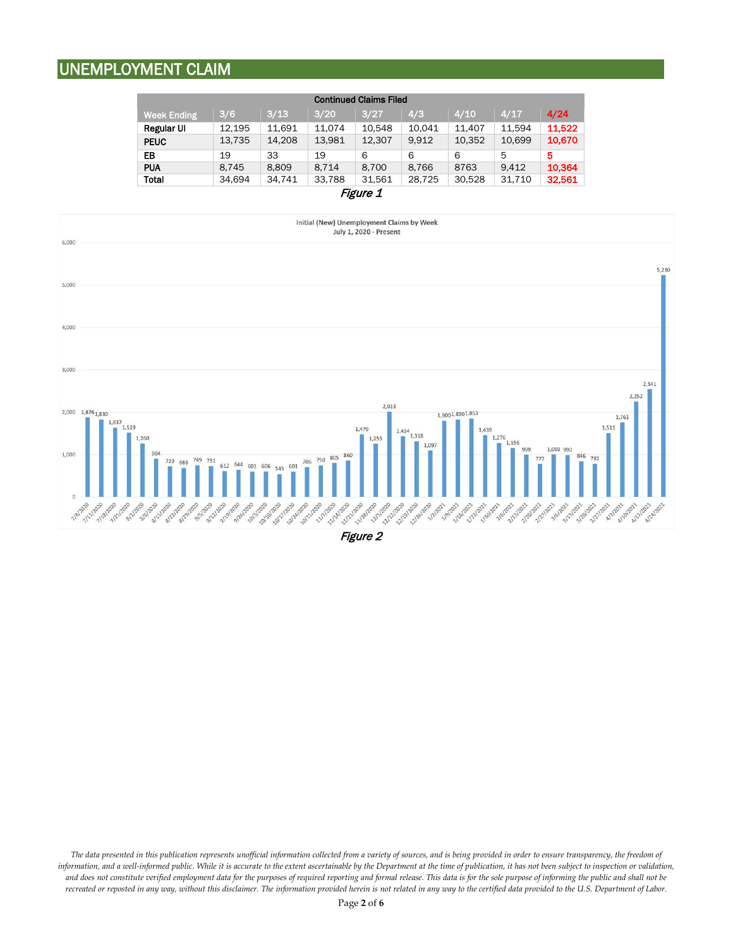## UNEMPLOYMENT CLAIM

| <b>Continued Claims Filed</b> |        |        |        |        |        |        |        |        |
|-------------------------------|--------|--------|--------|--------|--------|--------|--------|--------|
| <b>Week Ending</b>            | 3/6    | 3/13   | 3/20   | 3/27   | 4/3    | 4/10   | 4/17   | 4/24   |
| <b>Regular UI</b>             | 12.195 | 11.691 | 11.074 | 10.548 | 10.041 | 11.407 | 11.594 | 11,522 |
| <b>PEUC</b>                   | 13,735 | 14,208 | 13,981 | 12,307 | 9.912  | 10,352 | 10,699 | 10,670 |
| EB                            | 19     | 33     | 19     | 6      | 6      | 6      | 5      | 5      |
| <b>PUA</b>                    | 8,745  | 8,809  | 8,714  | 8,700  | 8,766  | 8763   | 9.412  | 10,364 |
| Total                         | 34,694 | 34,741 | 33,788 | 31,561 | 28,725 | 30,528 | 31,710 | 32,561 |
| <i>Figure 1</i>               |        |        |        |        |        |        |        |        |



Figure 2

*The data presented in this publication represents unofficial information collected from a variety of sources, and is being provided in order to ensure transparency, the freedom of*  information, and a well-informed public. While it is accurate to the extent ascertainable by the Department at the time of publication, it has not been subject to inspection or validation, and does not constitute verified employment data for the purposes of required reporting and formal release. This data is for the sole purpose of informing the public and shall not be *recreated or reposted in any way, without this disclaimer. The information provided herein is not related in any way to the certified data provided to the U.S. Department of Labor.*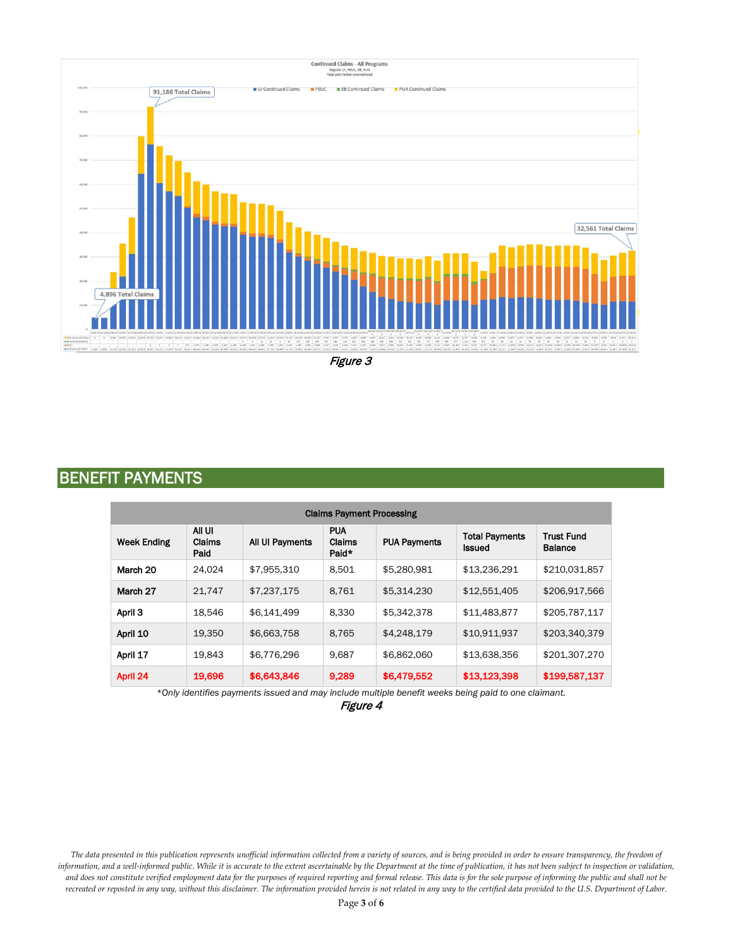

Figure 3

### BENEFIT PAYMENTS

| <b>Claims Payment Processing</b> |                          |                 |                               |                     |                                        |                                     |
|----------------------------------|--------------------------|-----------------|-------------------------------|---------------------|----------------------------------------|-------------------------------------|
| <b>Week Ending</b>               | All UI<br>Claims<br>Paid | All UI Payments | <b>PUA</b><br>Claims<br>Paid* | <b>PUA Payments</b> | <b>Total Payments</b><br><b>Issued</b> | <b>Trust Fund</b><br><b>Balance</b> |
| March 20                         | 24.024                   | \$7.955.310     | 8.501                         | \$5,280,981         | \$13.236.291                           | \$210,031,857                       |
| March 27                         | 21.747                   | \$7,237,175     | 8,761                         | \$5,314,230         | \$12,551,405                           | \$206,917,566                       |
| April 3                          | 18,546                   | \$6.141.499     | 8.330                         | \$5.342.378         | \$11,483,877                           | \$205,787,117                       |
| April 10                         | 19.350                   | \$6,663,758     | 8.765                         | \$4,248,179         | \$10,911,937                           | \$203,340,379                       |
| April 17                         | 19.843                   | \$6,776,296     | 9,687                         | \$6,862,060         | \$13,638,356                           | \$201,307,270                       |
| April 24                         | 19,696                   | \$6,643,846     | 9,289                         | \$6,479,552         | \$13,123,398                           | \$199,587,137                       |

*\*Only identifies payments issued and may include multiple benefit weeks being paid to one claimant.*

Figure 4

*The data presented in this publication represents unofficial information collected from a variety of sources, and is being provided in order to ensure transparency, the freedom of*  information, and a well-informed public. While it is accurate to the extent ascertainable by the Department at the time of publication, it has not been subject to inspection or validation, *and does not constitute verified employment data for the purposes of required reporting and formal release. This data is for the sole purpose of informing the public and shall not be recreated or reposted in any way, without this disclaimer. The information provided herein is not related in any way to the certified data provided to the U.S. Department of Labor.*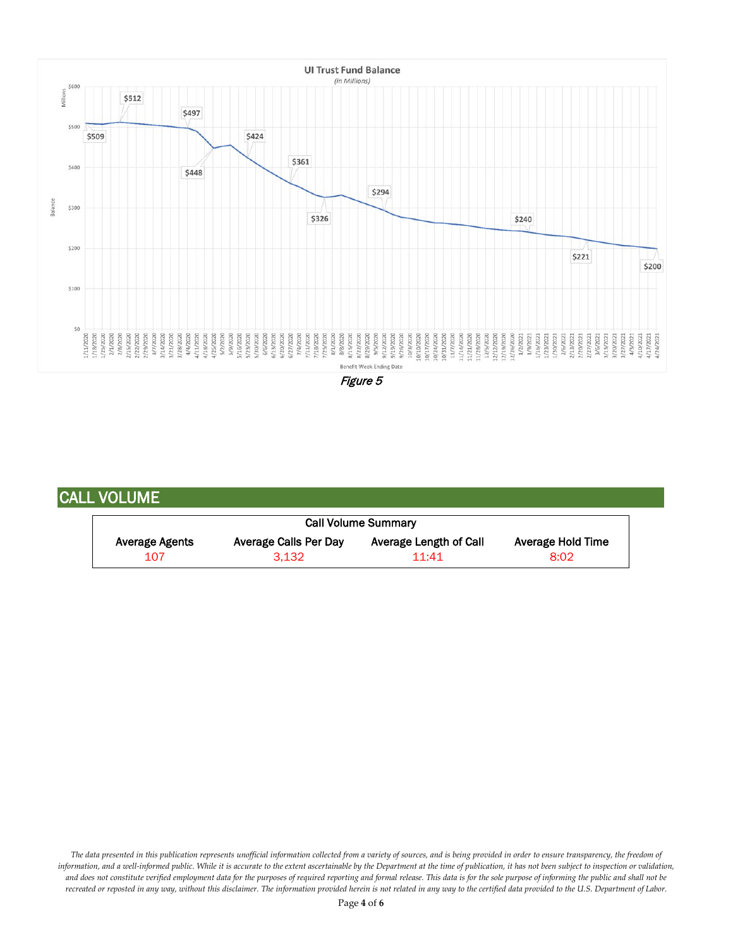

Figure 5

### CALL VOLUME

| <b>Call Volume Summary</b> |                       |                        |                   |  |  |  |  |
|----------------------------|-----------------------|------------------------|-------------------|--|--|--|--|
| Average Agents             | Average Calls Per Day | Average Length of Call | Average Hold Time |  |  |  |  |
| 107                        | 3.132                 | 11:41                  | 8:02              |  |  |  |  |

*The data presented in this publication represents unofficial information collected from a variety of sources, and is being provided in order to ensure transparency, the freedom of*  information, and a well-informed public. While it is accurate to the extent ascertainable by the Department at the time of publication, it has not been subject to inspection or validation, and does not constitute verified employment data for the purposes of required reporting and formal release. This data is for the sole purpose of informing the public and shall not be *recreated or reposted in any way, without this disclaimer. The information provided herein is not related in any way to the certified data provided to the U.S. Department of Labor.*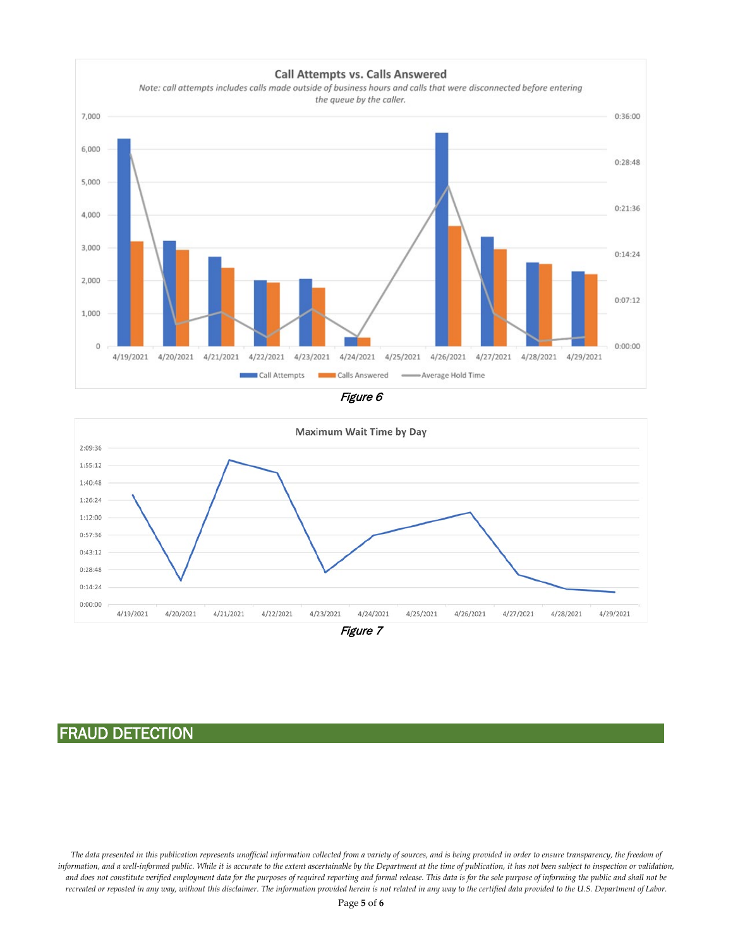





# FRAUD DETECTION

*The data presented in this publication represents unofficial information collected from a variety of sources, and is being provided in order to ensure transparency, the freedom of*  information, and a well-informed public. While it is accurate to the extent ascertainable by the Department at the time of publication, it has not been subject to inspection or validation, *and does not constitute verified employment data for the purposes of required reporting and formal release. This data is for the sole purpose of informing the public and shall not be recreated or reposted in any way, without this disclaimer. The information provided herein is not related in any way to the certified data provided to the U.S. Department of Labor.*